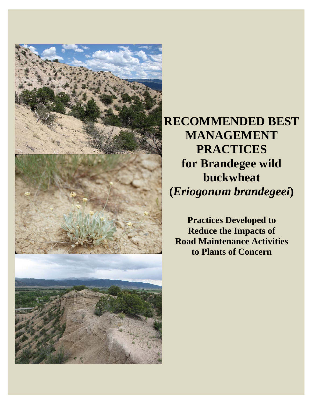

**RECOMMENDED BEST MANAGEMENT PRACTICES for Brandegee wild buckwheat (***Eriogonum brandegeei***)** 

**Practices Developed to Reduce the Impacts of Road Maintenance Activities to Plants of Concern**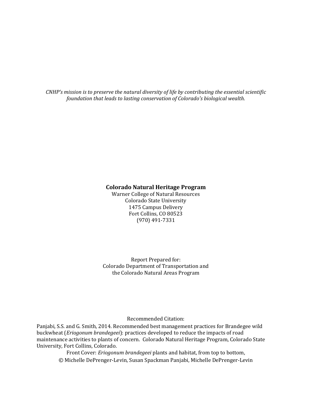*CNHP's mission is to preserve the natural diversity of life by contributing the essential scientific foundation that leads to lasting conservation of Colorado's biological wealth.*

#### **Colorado Natural Heritage Program**

Warner College of Natural Resources Colorado State University 1475 Campus Delivery Fort Collins, CO 80523 (970) 491‐7331 

Report Prepared for: Colorado Department of Transportation and the Colorado Natural Areas Program

#### Recommended Citation:

Panjabi, S.S. and G. Smith, 2014. Recommended best management practices for Brandegee wild buckwheat (*Eriogonum brandegeei*): practices developed to reduce the impacts of road maintenance activities to plants of concern. Colorado Natural Heritage Program, Colorado State University, Fort Collins, Colorado.

Front Cover: *Eriogonum brandegeei* plants and habitat, from top to bottom, © Michelle DePrenger-Levin, Susan Spackman Panjabi, Michelle DePrenger-Levin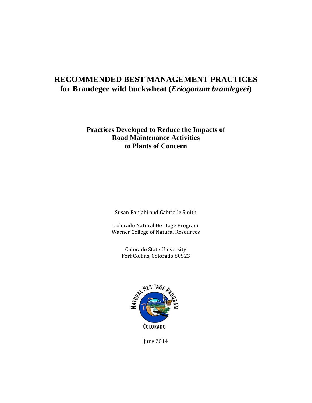### **RECOMMENDED BEST MANAGEMENT PRACTICES for Brandegee wild buckwheat (***Eriogonum brandegeei***)**

### **Practices Developed to Reduce the Impacts of Road Maintenance Activities to Plants of Concern**

Susan Panjabi and Gabrielle Smith

Colorado Natural Heritage Program Warner College of Natural Resources

> Colorado State University Fort Collins, Colorado 80523



June 2014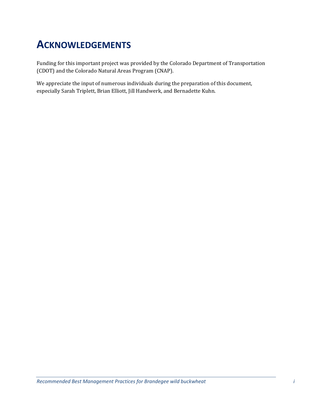# **ACKNOWLEDGEMENTS**

Funding for this important project was provided by the Colorado Department of Transportation (CDOT) and the Colorado Natural Areas Program (CNAP).

We appreciate the input of numerous individuals during the preparation of this document, especially Sarah Triplett, Brian Elliott, Jill Handwerk, and Bernadette Kuhn.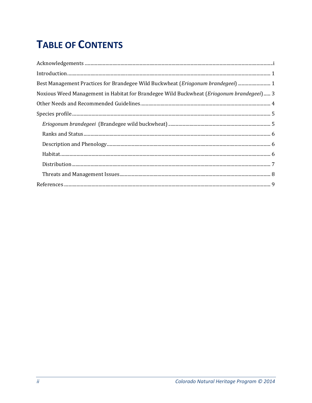# **TABLE OF CONTENTS**

| $In traditional union. 1\n1\n1\n2\n2\n3\n4\n4\n4\n5\n5\n6\n6\n7\n7\n8\n8\n8\n9\n9\n1\n1\n1\n1\n1\n2\n1\n2\n1\n3\n4\n4\n5\n6\n6\n8\n9\n9\n1\n1\n1\n1\n2\n1\n2\n1\n3\n4\n3\n4\n5\n6\n6\n8\n9\n9\n1\n1\n1\n1\n2\n1\n2\n1\n3\n4\n5\n6\n9\n1\n1\n1\n2\n1\n2\n3\n4\n5\n6\n5\n6\n6\n6\n6\n7\n8\n8\n9\n9\n1\n1\n1\n1\n2\n1\n2\n3\n5\n5\n6\n6\n8\n9\n1\n1\n1\n2\n5$ |
|------------------------------------------------------------------------------------------------------------------------------------------------------------------------------------------------------------------------------------------------------------------------------------------------------------------------------------------------------------|
| Best Management Practices for Brandegee Wild Buckwheat (Eriogonum brandegeei)  1                                                                                                                                                                                                                                                                           |
| Noxious Weed Management in Habitat for Brandegee Wild Buckwheat (Eriogonum brandegeei) 3                                                                                                                                                                                                                                                                   |
|                                                                                                                                                                                                                                                                                                                                                            |
|                                                                                                                                                                                                                                                                                                                                                            |
|                                                                                                                                                                                                                                                                                                                                                            |
|                                                                                                                                                                                                                                                                                                                                                            |
|                                                                                                                                                                                                                                                                                                                                                            |
|                                                                                                                                                                                                                                                                                                                                                            |
|                                                                                                                                                                                                                                                                                                                                                            |
|                                                                                                                                                                                                                                                                                                                                                            |
|                                                                                                                                                                                                                                                                                                                                                            |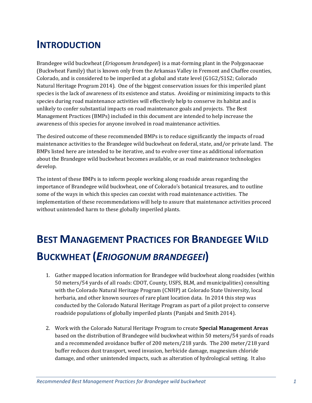## **INTRODUCTION**

Brandegee wild buckwheat *(Eriogonum brandegeei)* is a mat-forming plant in the Polygonaceae (Buckwheat Family) that is known only from the Arkansas Valley in Fremont and Chaffee counties, Colorado, and is considered to be imperiled at a global and state level  $(G1G2/S1S2; Colorado)$ Natural Heritage Program 2014). One of the biggest conservation issues for this imperiled plant species is the lack of awareness of its existence and status. Avoiding or minimizing impacts to this species during road maintenance activities will effectively help to conserve its habitat and is unlikely to confer substantial impacts on road maintenance goals and projects. The Best Management Practices (BMPs) included in this document are intended to help increase the awareness of this species for anyone involved in road maintenance activities.

The desired outcome of these recommended BMPs is to reduce significantly the impacts of road maintenance activities to the Brandegee wild buckwheat on federal, state, and/or private land. The BMPs listed here are intended to be iterative, and to evolve over time as additional information about the Brandegee wild buckwheat becomes available, or as road maintenance technologies develop. 

The intent of these BMPs is to inform people working along roadside areas regarding the importance of Brandegee wild buckwheat, one of Colorado's botanical treasures, and to outline some of the ways in which this species can coexist with road maintenance activities. The implementation of these recommendations will help to assure that maintenance activities proceed without unintended harm to these globally imperiled plants.

# **BEST MANAGEMENT PRACTICES FOR BRANDEGEE WILD BUCKWHEAT (***ERIOGONUM BRANDEGEEI***)**

- 1. Gather mapped location information for Brandegee wild buckwheat along roadsides (within 50 meters/54 yards of all roads: CDOT, County, USFS, BLM, and municipalities) consulting with the Colorado Natural Heritage Program (CNHP) at Colorado State University, local herbaria, and other known sources of rare plant location data. In 2014 this step was conducted by the Colorado Natural Heritage Program as part of a pilot project to conserve roadside populations of globally imperiled plants (Panjabi and Smith 2014).
- 2. Work with the Colorado Natural Heritage Program to create **Special Management Areas** based on the distribution of Brandegee wild buckwheat within 50 meters/54 yards of roads and a recommended avoidance buffer of 200 meters/218 yards. The 200 meter/218 yard buffer reduces dust transport, weed invasion, herbicide damage, magnesium chloride damage, and other unintended impacts, such as alteration of hydrological setting. It also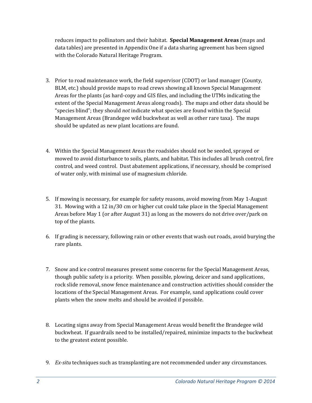reduces impact to pollinators and their habitat. **Special Management Areas** (maps and data tables) are presented in Appendix One if a data sharing agreement has been signed with the Colorado Natural Heritage Program.

- 3. Prior to road maintenance work, the field supervisor (CDOT) or land manager (County, BLM, etc.) should provide maps to road crews showing all known Special Management Areas for the plants (as hard-copy and GIS files, and including the UTMs indicating the extent of the Special Management Areas along roads). The maps and other data should be "species blind"; they should *not* indicate what species are found within the Special Management Areas (Brandegee wild buckwheat as well as other rare taxa). The maps should be updated as new plant locations are found.
- 4. Within the Special Management Areas the roadsides should not be seeded, sprayed or mowed to avoid disturbance to soils, plants, and habitat. This includes all brush control, fire control, and weed control. Dust abatement applications, if necessary, should be comprised of water only, with minimal use of magnesium chloride.
- 5. If mowing is necessary, for example for safety reasons, avoid mowing from May 1-August 31. Mowing with a 12 in/30 cm or higher cut could take place in the Special Management Areas before May 1 (or after August 31) as long as the mowers do not drive over/park on top of the plants.
- 6. If grading is necessary, following rain or other events that wash out roads, avoid burying the rare plants.
- 7. Snow and ice control measures present some concerns for the Special Management Areas, though public safety is a priority. When possible, plowing, deicer and sand applications, rock slide removal, snow fence maintenance and construction activities should consider the locations of the Special Management Areas. For example, sand applications could cover plants when the snow melts and should be avoided if possible.
- 8. Locating signs away from Special Management Areas would benefit the Brandegee wild buckwheat. If guardrails need to be installed/repaired, minimize impacts to the buckwheat to the greatest extent possible.
- 9. *Ex-situ* techniques such as transplanting are not recommended under any circumstances.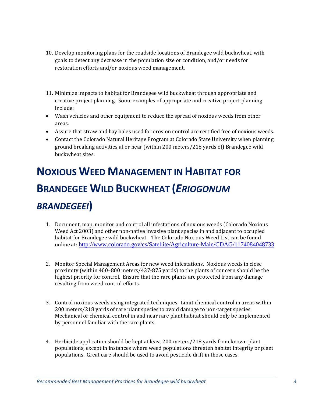- 10. Develop monitoring plans for the roadside locations of Brandegee wild buckwheat, with goals to detect any decrease in the population size or condition, and/or needs for restoration efforts and/or noxious weed management.
- 11. Minimize impacts to habitat for Brandegee wild buckwheat through appropriate and creative project planning. Some examples of appropriate and creative project planning include:
- Wash vehicles and other equipment to reduce the spread of noxious weeds from other areas.
- Assure that straw and hay bales used for erosion control are certified free of noxious weeds.
- Contact the Colorado Natural Heritage Program at Colorado State University when planning ground breaking activities at or near (within 200 meters/218 yards of) Brandegee wild buckwheat sites.

# **NOXIOUS WEED MANAGEMENT IN HABITAT FOR BRANDEGEE WILD BUCKWHEAT (***ERIOGONUM BRANDEGEEI***)**

- 1. Document, map, monitor and control all infestations of noxious weeds (Colorado Noxious Weed Act 2003) and other non-native invasive plant species in and adjacent to occupied habitat for Brandegee wild buckwheat. The Colorado Noxious Weed List can be found online at: http://www.colorado.gov/cs/Satellite/Agriculture-Main/CDAG/1174084048733
- 2. Monitor Special Management Areas for new weed infestations. Noxious weeds in close proximity (within  $400-800$  meters/437-875 yards) to the plants of concern should be the highest priority for control. Ensure that the rare plants are protected from any damage resulting from weed control efforts.
- 3. Control noxious weeds using integrated techniques. Limit chemical control in areas within 200 meters/218 yards of rare plant species to avoid damage to non-target species. Mechanical or chemical control in and near rare plant habitat should only be implemented by personnel familiar with the rare plants.
- 4. Herbicide application should be kept at least 200 meters/218 yards from known plant populations, except in instances where weed populations threaten habitat integrity or plant populations. Great care should be used to avoid pesticide drift in those cases.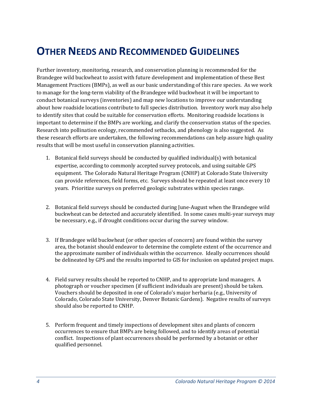## **OTHER NEEDS AND RECOMMENDED GUIDELINES**

Further inventory, monitoring, research, and conservation planning is recommended for the Brandegee wild buckwheat to assist with future development and implementation of these Best Management Practices (BMPs), as well as our basic understanding of this rare species. As we work to manage for the long-term viability of the Brandegee wild buckwheat it will be important to conduct botanical surveys (inventories) and map new locations to improve our understanding about how roadside locations contribute to full species distribution. Inventory work may also help to identify sites that could be suitable for conservation efforts. Monitoring roadside locations is important to determine if the BMPs are working, and clarify the conservation status of the species. Research into pollination ecology, recommended setbacks, and phenology is also suggested. As these research efforts are undertaken, the following recommendations can help assure high quality results that will be most useful in conservation planning activities.

- 1. Botanical field surveys should be conducted by qualified individual(s) with botanical expertise, according to commonly accepted survey protocols, and using suitable GPS equipment. The Colorado Natural Heritage Program (CNHP) at Colorado State University can provide references, field forms, etc. Surveys should be repeated at least once every 10 years. Prioritize surveys on preferred geologic substrates within species range.
- 2. Botanical field surveys should be conducted during June-August when the Brandegee wild buckwheat can be detected and accurately identified. In some cases multi-year surveys may be necessary, e.g., if drought conditions occur during the survey window.
- 3. If Brandegee wild buckwheat (or other species of concern) are found within the survey area, the botanist should endeavor to determine the complete extent of the occurrence and the approximate number of individuals within the occurrence. Ideally occurrences should be delineated by GPS and the results imported to GIS for inclusion on updated project maps.
- 4. Field survey results should be reported to CNHP, and to appropriate land managers. A photograph or voucher specimen (if sufficient individuals are present) should be taken. Vouchers should be deposited in one of Colorado's major herbaria (e.g., University of Colorado, Colorado State University, Denver Botanic Gardens). Negative results of surveys should also be reported to CNHP.
- 5. Perform frequent and timely inspections of development sites and plants of concern occurrences to ensure that BMPs are being followed, and to identify areas of potential conflict. Inspections of plant occurrences should be performed by a botanist or other qualified personnel.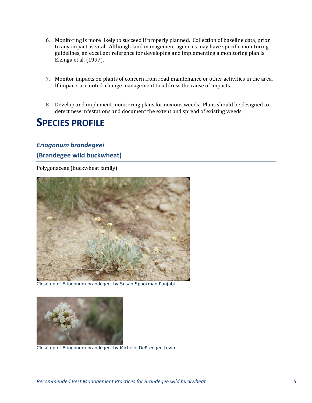- 6. Monitoring is more likely to succeed if properly planned. Collection of baseline data, prior to any impact, is vital. Although land management agencies may have specific monitoring guidelines, an excellent reference for developing and implementing a monitoring plan is Elzinga et al. (1997).
- 7. Monitor impacts on plants of concern from road maintenance or other activities in the area. If impacts are noted, change management to address the cause of impacts.
- 8. Develop and implement monitoring plans for noxious weeds. Plans should be designed to detect new infestations and document the extent and spread of existing weeds.

### **SPECIES PROFILE**

### *Eriogonum brandegeei* **(Brandegee wild buckwheat)**

Polygonaceae (buckwheat family)



Close up of *Eriogonum brandegeei* by Susan Spackman Panjabi



Close up of *Eriogonum brandegeei* by Michelle DePrenger-Levin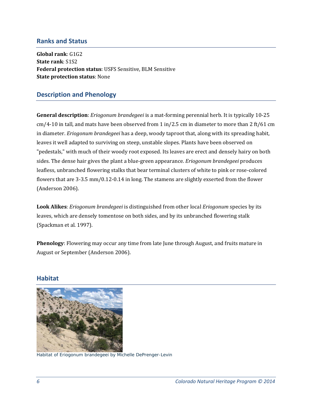### **Ranks and Status**

**Global rank**: G1G2 **State rank**: S1S2 **Federal protection status**: USFS Sensitive, BLM Sensitive **State protection status**: None 

### **Description and Phenology**

**General description**: *Eriogonum brandegeei* is a mat-forming perennial herb. It is typically 10-25 cm/4-10 in tall, and mats have been observed from 1 in/2.5 cm in diameter to more than 2 ft/61 cm in diameter. *Eriogonum brandegeei* has a deep, woody taproot that, along with its spreading habit, leaves it well adapted to surviving on steep, unstable slopes. Plants have been observed on "pedestals," with much of their woody root exposed. Its leaves are erect and densely hairy on both sides. The dense hair gives the plant a blue-green appearance. *Eriogonum brandegeei* produces leafless, unbranched flowering stalks that bear terminal clusters of white to pink or rose-colored flowers that are  $3-3.5$  mm/0.12 $-0.14$  in long. The stamens are slightly exserted from the flower (Anderson 2006).

**Look Alikes**: *Eriogonum brandegeei* is distinguished from other local *Eriogonum* species by its leaves, which are densely tomentose on both sides, and by its unbranched flowering stalk (Spackman et al. 1997).

**Phenology**: Flowering may occur any time from late June through August, and fruits mature in August or September (Anderson 2006).

### **Habitat**



Habitat of *Eriogonum brandegeei* by Michelle DePrenger-Levin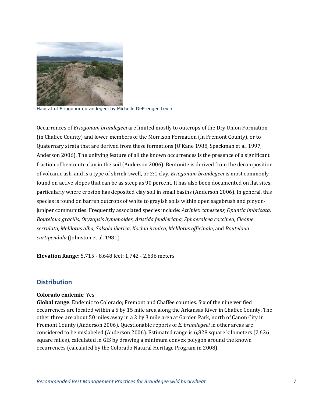

Habitat of *Eriogonum brandegeei* by Michelle DePrenger-Levin

Occurrences of *Eriogonum brandegeei* are limited mostly to outcrops of the Dry Union Formation (in Chaffee County) and lower members of the Morrison Formation (in Fremont County), or to Quaternary strata that are derived from these formations (O'Kane 1988, Spackman et al. 1997, Anderson 2006). The unifying feature of all the known occurrences is the presence of a significant fraction of bentonite clay in the soil (Anderson 2006). Bentonite is derived from the decomposition of volcanic ash, and is a type of shrink-swell, or 2:1 clay. *Eriogonum brandegeei* is most commonly found on active slopes that can be as steep as 90 percent. It has also been documented on flat sites, particularly where erosion has deposited clay soil in small basins (Anderson 2006). In general, this species is found on barren outcrops of white to grayish soils within open sagebrush and pinyonjuniper communities. Frequently associated species include: *Atriplex canescens, Opuntia imbricata, Bouteloua gracilis, Oryzopsis hymenoides, Aristida fendleriana, Sphaeralcea coccinea, Cleome serrulata, Melilotus alba, Salsola iberica, Kochia iranica, Melilotus officinale*, and *Bouteloua curtipendula* (Johnston et al. 1981).

**Elevation Range:** 5,715 - 8,648 feet; 1,742 - 2,636 meters

### **Distribution**

#### **Colorado endemic**: Yes

**Global range**: Endemic to Colorado; Fremont and Chaffee counties. Six of the nine verified occurrences are located within a 5 by 15 mile area along the Arkansas River in Chaffee County. The other three are about 50 miles away in a 2 by 3 mile area at Garden Park, north of Canon City in Fremont County (Anderson 2006). Questionable reports of *E. brandegeei* in other areas are considered to be mislabeled (Anderson 2006). Estimated range is 6,828 square kilometers (2,636 square miles), calculated in GIS by drawing a minimum convex polygon around the known occurrences (calculated by the Colorado Natural Heritage Program in 2008).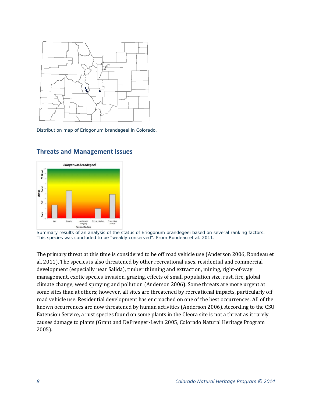

Distribution map of *Eriogonum brandegeei* in Colorado.



### **Threats and Management Issues**

Summary results of an analysis of the status of *Eriogonum brandegeei* based on several ranking factors. This species was concluded to be "weakly conserved". From Rondeau et al. 2011.

The primary threat at this time is considered to be off road vehicle use (Anderson 2006, Rondeau et al. 2011). The species is also threatened by other recreational uses, residential and commercial development (especially near Salida), timber thinning and extraction, mining, right-of-way management, exotic species invasion, grazing, effects of small population size, rust, fire, global climate change, weed spraying and pollution (Anderson 2006). Some threats are more urgent at some sites than at others; however, all sites are threatened by recreational impacts, particularly off road vehicle use. Residential development has encroached on one of the best occurrences. All of the known occurrences are now threatened by human activities (Anderson 2006). According to the CSU Extension Service, a rust species found on some plants in the Cleora site is not a threat as it rarely causes damage to plants (Grant and DePrenger-Levin 2005, Colorado Natural Heritage Program 2005).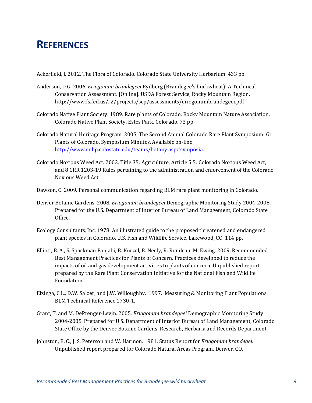## **REFERENCES**

Ackerfield, J. 2012. The Flora of Colorado. Colorado State University Herbarium. 433 pp.

- Anderson, D.G. 2006. *Eriogonum brandegeei* Rydberg (Brandegee's buckwheat): A Technical Conservation Assessment. [Online]. USDA Forest Service, Rocky Mountain Region. http://www.fs.fed.us/r2/projects/scp/assessments/eriogonumbrandegeei.pdf
- Colorado Native Plant Society. 1989. Rare plants of Colorado. Rocky Mountain Nature Association, Colorado Native Plant Society, Estes Park, Colorado. 73 pp.
- Colorado Natural Heritage Program. 2005. The Second Annual Colorado Rare Plant Symposium: G1 Plants of Colorado. Symposium Minutes. Available on-line http://www.cnhp.colostate.edu/teams/botany.asp#symposia.
- Colorado Noxious Weed Act. 2003. Title 35: Agriculture, Article 5.5: Colorado Noxious Weed Act, and 8 CRR 1203-19 Rules pertaining to the administration and enforcement of the Colorado Noxious Weed Act.
- Dawson, C. 2009. Personal communication regarding BLM rare plant monitoring in Colorado.
- Denver Botanic Gardens. 2008. *Eriogonum brandegeei* Demographic Monitoring Study 2004-2008. Prepared for the U.S. Department of Interior Bureau of Land Management, Colorado State Office.
- Ecology Consultants, Inc. 1978. An illustrated guide to the proposed threatened and endangered plant species in Colorado. U.S. Fish and Wildlife Service, Lakewood, CO. 114 pp.
- Elliott, B. A., S. Spackman Panjabi, B. Kurzel, B. Neely, R. Rondeau, M. Ewing. 2009. Recommended Best Management Practices for Plants of Concern. Practices developed to reduce the impacts of oil and gas development activities to plants of concern. Unpublished report prepared by the Rare Plant Conservation Initiative for the National Fish and Wildlife Foundation.
- Elzinga, C.L., D.W. Salzer, and J.W. Willoughby. 1997. Measuring & Monitoring Plant Populations. BLM Technical Reference 1730-1.
- Grant, T. and M. DePrenger-Levin. 2005. *Eriogonum brandegeei* Demographic Monitoring Study 2004-2005. Prepared for U.S. Department of Interior Bureau of Land Management, Colorado State Office by the Denver Botanic Gardens' Research, Herbaria and Records Department.
- Johnston, B. C., J. S. Peterson and W. Harmon. 1981. Status Report for *Eriogonum brandegei*. Unpublished report prepared for Colorado Natural Areas Program, Denver, CO.